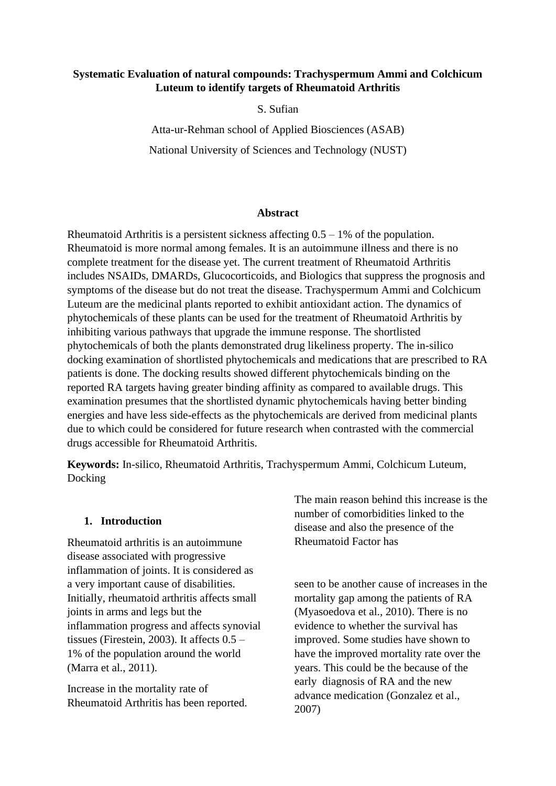# **Systematic Evaluation of natural compounds: Trachyspermum Ammi and Colchicum Luteum to identify targets of Rheumatoid Arthritis**

S. Sufian

Atta-ur-Rehman school of Applied Biosciences (ASAB) National University of Sciences and Technology (NUST)

#### **Abstract**

Rheumatoid Arthritis is a persistent sickness affecting  $0.5 - 1\%$  of the population. Rheumatoid is more normal among females. It is an autoimmune illness and there is no complete treatment for the disease yet. The current treatment of Rheumatoid Arthritis includes NSAIDs, DMARDs, Glucocorticoids, and Biologics that suppress the prognosis and symptoms of the disease but do not treat the disease. Trachyspermum Ammi and Colchicum Luteum are the medicinal plants reported to exhibit antioxidant action. The dynamics of phytochemicals of these plants can be used for the treatment of Rheumatoid Arthritis by inhibiting various pathways that upgrade the immune response. The shortlisted phytochemicals of both the plants demonstrated drug likeliness property. The in-silico docking examination of shortlisted phytochemicals and medications that are prescribed to RA patients is done. The docking results showed different phytochemicals binding on the reported RA targets having greater binding affinity as compared to available drugs. This examination presumes that the shortlisted dynamic phytochemicals having better binding energies and have less side-effects as the phytochemicals are derived from medicinal plants due to which could be considered for future research when contrasted with the commercial drugs accessible for Rheumatoid Arthritis.

**Keywords:** In-silico, Rheumatoid Arthritis, Trachyspermum Ammi, Colchicum Luteum, Docking

#### **1. Introduction**

Rheumatoid arthritis is an autoimmune disease associated with progressive inflammation of joints. It is considered as a very important cause of disabilities. Initially, rheumatoid arthritis affects small joints in arms and legs but the inflammation progress and affects synovial tissues (Firestein, 2003). It affects  $0.5$  – 1% of the population around the world (Marra et al., 2011).

Increase in the mortality rate of Rheumatoid Arthritis has been reported. The main reason behind this increase is the number of comorbidities linked to the disease and also the presence of the Rheumatoid Factor has

seen to be another cause of increases in the mortality gap among the patients of RA (Myasoedova et al., 2010). There is no evidence to whether the survival has improved. Some studies have shown to have the improved mortality rate over the years. This could be the because of the early diagnosis of RA and the new advance medication (Gonzalez et al., 2007)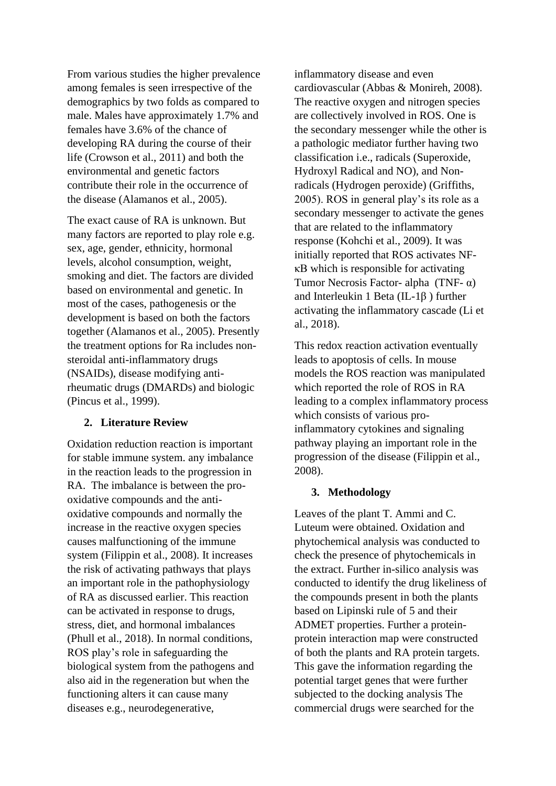From various studies the higher prevalence among females is seen irrespective of the demographics by two folds as compared to male. Males have approximately 1.7% and females have 3.6% of the chance of developing RA during the course of their life (Crowson et al., 2011) and both the environmental and genetic factors contribute their role in the occurrence of the disease (Alamanos et al., 2005).

The exact cause of RA is unknown. But many factors are reported to play role e.g. sex, age, gender, ethnicity, hormonal levels, alcohol consumption, weight, smoking and diet. The factors are divided based on environmental and genetic. In most of the cases, pathogenesis or the development is based on both the factors together (Alamanos et al., 2005). Presently the treatment options for Ra includes nonsteroidal anti-inflammatory drugs (NSAIDs), disease modifying antirheumatic drugs (DMARDs) and biologic (Pincus et al., 1999).

## **2. Literature Review**

Oxidation reduction reaction is important for stable immune system. any imbalance in the reaction leads to the progression in RA. The imbalance is between the prooxidative compounds and the antioxidative compounds and normally the increase in the reactive oxygen species causes malfunctioning of the immune system (Filippin et al., 2008). It increases the risk of activating pathways that plays an important role in the pathophysiology of RA as discussed earlier. This reaction can be activated in response to drugs, stress, diet, and hormonal imbalances (Phull et al., 2018). In normal conditions, ROS play's role in safeguarding the biological system from the pathogens and also aid in the regeneration but when the functioning alters it can cause many diseases e.g., neurodegenerative,

inflammatory disease and even cardiovascular (Abbas & Monireh, 2008). The reactive oxygen and nitrogen species are collectively involved in ROS. One is the secondary messenger while the other is a pathologic mediator further having two classification i.e., radicals (Superoxide, Hydroxyl Radical and NO), and Nonradicals (Hydrogen peroxide) (Griffiths, 2005). ROS in general play's its role as a secondary messenger to activate the genes that are related to the inflammatory response (Kohchi et al., 2009). It was initially reported that ROS activates NFκB which is responsible for activating Tumor Necrosis Factor- alpha (TNF- $\alpha$ ) and Interleukin 1 Beta (IL-1β ) further activating the inflammatory cascade (Li et al., 2018).

This redox reaction activation eventually leads to apoptosis of cells. In mouse models the ROS reaction was manipulated which reported the role of ROS in RA leading to a complex inflammatory process which consists of various proinflammatory cytokines and signaling pathway playing an important role in the progression of the disease (Filippin et al., 2008).

#### **3. Methodology**

Leaves of the plant T. Ammi and C. Luteum were obtained. Oxidation and phytochemical analysis was conducted to check the presence of phytochemicals in the extract. Further in-silico analysis was conducted to identify the drug likeliness of the compounds present in both the plants based on Lipinski rule of 5 and their ADMET properties. Further a proteinprotein interaction map were constructed of both the plants and RA protein targets. This gave the information regarding the potential target genes that were further subjected to the docking analysis The commercial drugs were searched for the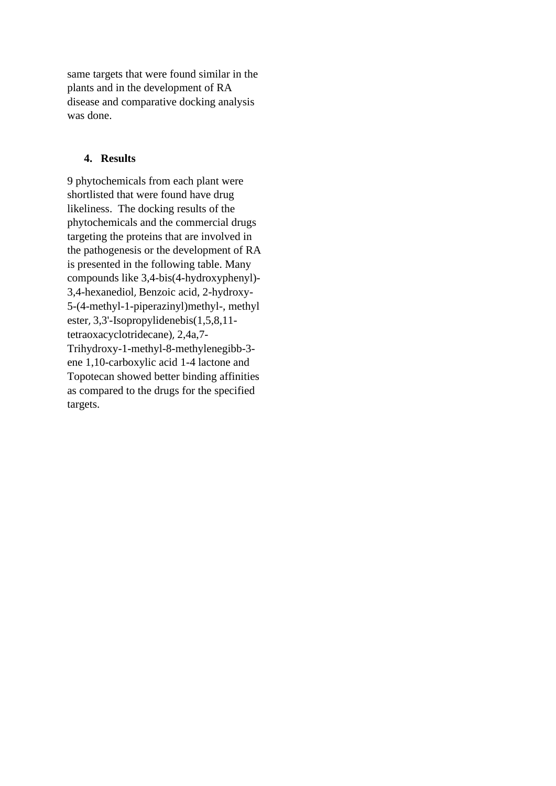same targets that were found similar in the plants and in the development of RA disease and comparative docking analysis was done.

## **4.** Results

9 phytochemicals from each plant were shortlisted that were found have drug likeliness. The docking results of the phytochemicals and the commercial drugs targeting the proteins that are involved in the pathogenesis or the development of RA is presented in the following table. Many compounds like 3,4-bis(4-hydroxyphenyl)- 3,4-hexanediol, Benzoic acid, 2-hydroxy-5-(4-methyl-1-piperazinyl)methyl-, methyl ester, 3,3'-Isopropylidenebis(1,5,8,11 tetraoxacyclotridecane), 2,4a,7- Trihydroxy-1-methyl-8-methylenegibb-3 ene 1,10-carboxylic acid 1-4 lactone and Topotecan showed better binding affinities as compared to the drugs for the specified targets.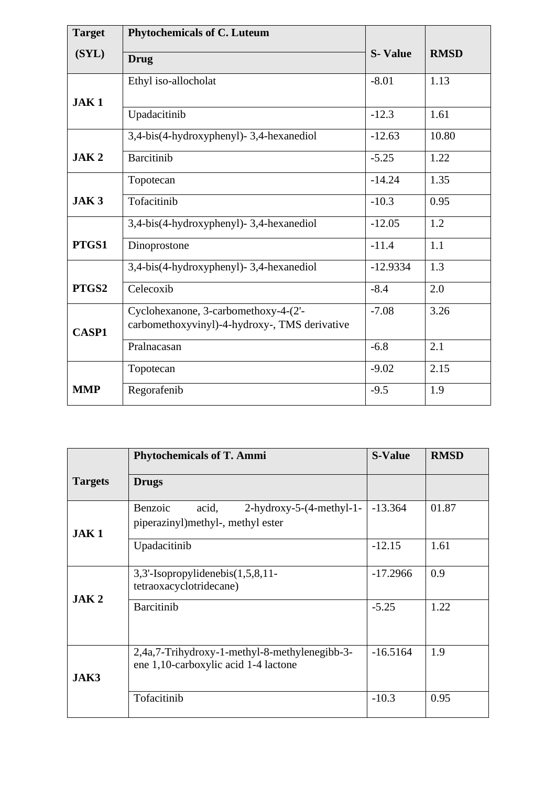| <b>Target</b>    | <b>Phytochemicals of C. Luteum</b>                                                    |                |             |
|------------------|---------------------------------------------------------------------------------------|----------------|-------------|
| (SYL)            | <b>Drug</b>                                                                           | <b>S-Value</b> | <b>RMSD</b> |
| JAK <sub>1</sub> | Ethyl iso-allocholat                                                                  | $-8.01$        | 1.13        |
|                  | Upadacitinib                                                                          | $-12.3$        | 1.61        |
|                  | 3,4-bis(4-hydroxyphenyl)-3,4-hexanediol                                               | $-12.63$       | 10.80       |
| JAK <sub>2</sub> | <b>Barcitinib</b>                                                                     | $-5.25$        | 1.22        |
|                  | Topotecan                                                                             | $-14.24$       | 1.35        |
| JAK <sub>3</sub> | Tofacitinib                                                                           | $-10.3$        | 0.95        |
|                  | 3,4-bis(4-hydroxyphenyl)-3,4-hexanediol                                               | $-12.05$       | 1.2         |
| PTGS1            | Dinoprostone                                                                          | $-11.4$        | 1.1         |
|                  | 3,4-bis(4-hydroxyphenyl)-3,4-hexanediol                                               | $-12.9334$     | 1.3         |
| PTGS2            | Celecoxib                                                                             | $-8.4$         | 2.0         |
| <b>CASP1</b>     | Cyclohexanone, 3-carbomethoxy-4-(2'-<br>carbomethoxyvinyl)-4-hydroxy-, TMS derivative | $-7.08$        | 3.26        |
|                  | Pralnacasan                                                                           | $-6.8$         | 2.1         |
|                  | Topotecan                                                                             | $-9.02$        | 2.15        |
| <b>MMP</b>       | Regorafenib                                                                           | $-9.5$         | 1.9         |

|                  | <b>Phytochemicals of T. Ammi</b>                                                          | <b>S-Value</b> | <b>RMSD</b> |
|------------------|-------------------------------------------------------------------------------------------|----------------|-------------|
| <b>Targets</b>   | <b>Drugs</b>                                                                              |                |             |
| JAK1             | Benzoic<br>acid,<br>$2$ -hydroxy-5- $(4$ -methyl-1-<br>piperazinyl) methyl-, methyl ester | $-13.364$      | 01.87       |
|                  | Upadacitinib                                                                              | $-12.15$       | 1.61        |
| JAK <sub>2</sub> | 3,3'-Isopropylidenebis(1,5,8,11-<br>tetraoxacyclotridecane)                               | $-17.2966$     | 0.9         |
|                  | <b>Barcitinib</b>                                                                         | $-5.25$        | 1.22        |
| JAK3             | 2,4a,7-Trihydroxy-1-methyl-8-methylenegibb-3-<br>ene 1,10-carboxylic acid 1-4 lactone     | $-16.5164$     | 1.9         |
|                  | Tofacitinib                                                                               | $-10.3$        | 0.95        |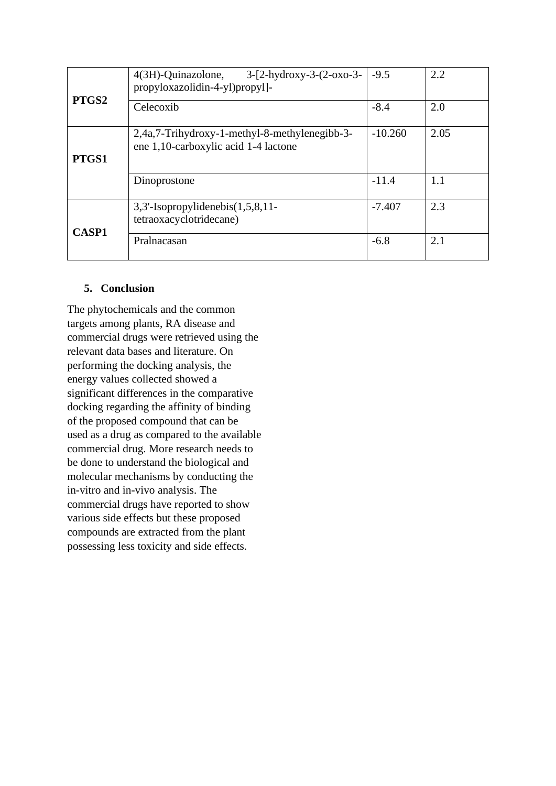| PTGS2        | 4(3H)-Quinazolone,<br>$3-[2-hydroxy-3-(2-0xo-3-$<br>propyloxazolidin-4-yl)propyl]-    | $-9.5$    | 2.2  |
|--------------|---------------------------------------------------------------------------------------|-----------|------|
|              | Celecoxib                                                                             | $-8.4$    | 2.0  |
| PTGS1        | 2,4a,7-Trihydroxy-1-methyl-8-methylenegibb-3-<br>ene 1,10-carboxylic acid 1-4 lactone | $-10.260$ | 2.05 |
|              | Dinoprostone                                                                          | $-11.4$   | 1.1  |
| <b>CASP1</b> | $3,3'$ -Isopropylidenebis $(1,5,8,11)$ -<br>tetraoxacyclotridecane)                   | $-7.407$  | 2.3  |
|              | Pralnacasan                                                                           | $-6.8$    | 2.1  |

# **5. Conclusion**

The phytochemicals and the common targets among plants, RA disease and commercial drugs were retrieved using the relevant data bases and literature. On performing the docking analysis, the energy values collected showed a significant differences in the comparative docking regarding the affinity of binding of the proposed compound that can be used as a drug as compared to the available commercial drug. More research needs to be done to understand the biological and molecular mechanisms by conducting the in-vitro and in-vivo analysis. The commercial drugs have reported to show various side effects but these proposed compounds are extracted from the plant possessing less toxicity and side effects.